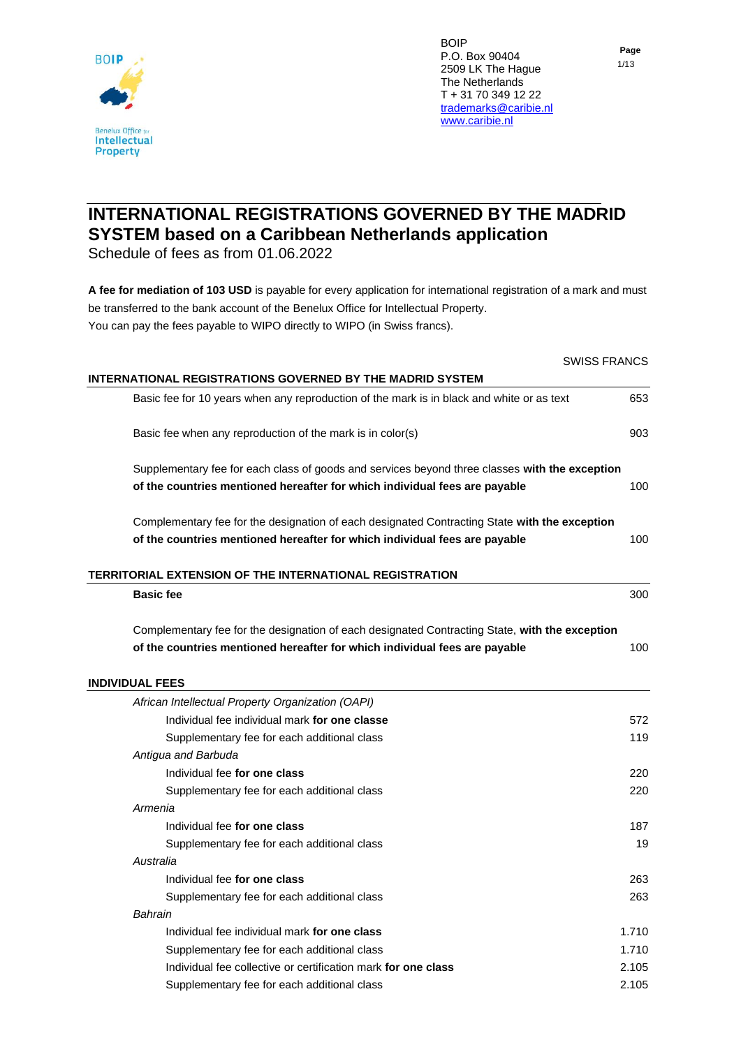

## **Page** 1/13

## **INTERNATIONAL REGISTRATIONS GOVERNED BY THE MADRID SYSTEM based on a Caribbean Netherlands application**

Schedule of fees as from 01.06.2022

**A fee for mediation of 103 USD** is payable for every application for international registration of a mark and must be transferred to the bank account of the Benelux Office for Intellectual Property. You can pay the fees payable to WIPO directly to WIPO (in Swiss francs).

|                                                                                                | <b>SWISS FRANCS</b> |
|------------------------------------------------------------------------------------------------|---------------------|
| INTERNATIONAL REGISTRATIONS GOVERNED BY THE MADRID SYSTEM                                      |                     |
| Basic fee for 10 years when any reproduction of the mark is in black and white or as text      | 653                 |
| Basic fee when any reproduction of the mark is in color(s)                                     | 903                 |
| Supplementary fee for each class of goods and services beyond three classes with the exception |                     |
| of the countries mentioned hereafter for which individual fees are payable                     | 100                 |
| Complementary fee for the designation of each designated Contracting State with the exception  |                     |
| of the countries mentioned hereafter for which individual fees are payable                     | 100                 |
| TERRITORIAL EXTENSION OF THE INTERNATIONAL REGISTRATION                                        |                     |
| <b>Basic fee</b>                                                                               | 300                 |
| Complementary fee for the designation of each designated Contracting State, with the exception |                     |
| of the countries mentioned hereafter for which individual fees are payable                     | 100                 |
| <b>INDIVIDUAL FEES</b>                                                                         |                     |
| African Intellectual Property Organization (OAPI)                                              |                     |
| Individual fee individual mark for one classe                                                  | 572                 |
| Supplementary fee for each additional class                                                    | 119                 |
| Antigua and Barbuda                                                                            |                     |
| Individual fee for one class                                                                   | 220                 |
| Supplementary fee for each additional class                                                    | 220                 |
| Armenia                                                                                        |                     |
| Individual fee for one class                                                                   | 187                 |
| Supplementary fee for each additional class                                                    | 19                  |
| Australia                                                                                      |                     |
| Individual fee for one class                                                                   | 263                 |
| Supplementary fee for each additional class                                                    | 263                 |
| Bahrain                                                                                        |                     |
| Individual fee individual mark for one class                                                   | 1.710               |
| Supplementary fee for each additional class                                                    | 1.710               |
| Individual fee collective or certification mark for one class                                  | 2.105               |
| Supplementary fee for each additional class                                                    | 2.105               |
|                                                                                                |                     |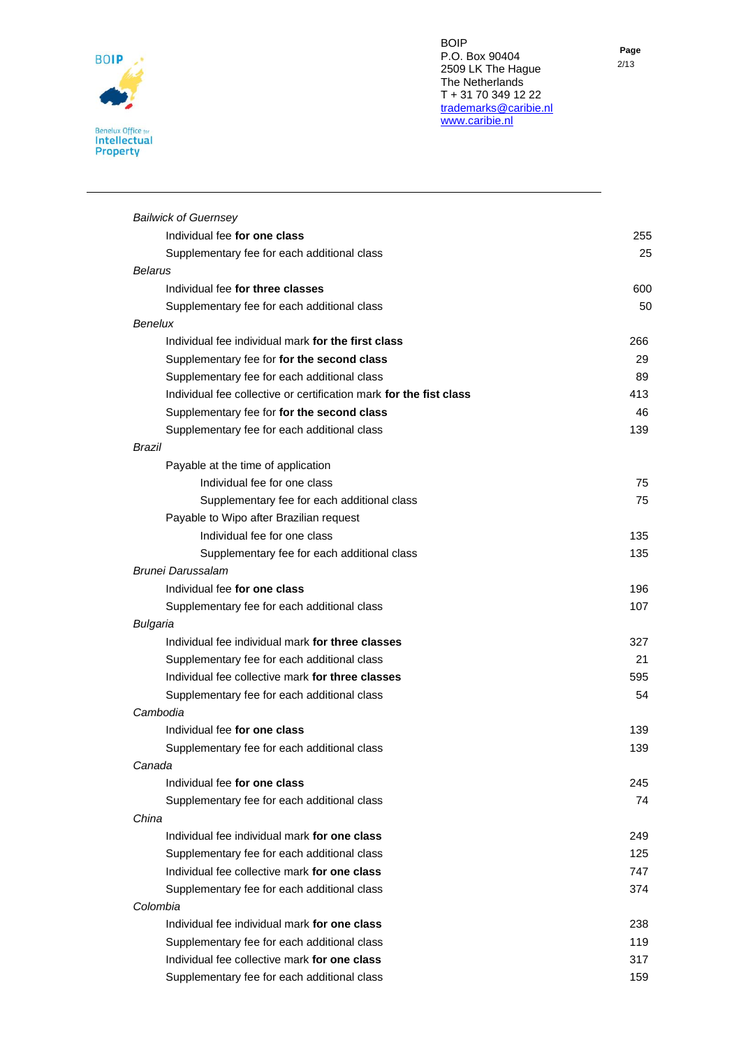

| <b>Bailwick of Guernsey</b>                                        |     |
|--------------------------------------------------------------------|-----|
| Individual fee for one class                                       | 255 |
| Supplementary fee for each additional class                        | 25  |
| Belarus                                                            |     |
| Individual fee for three classes                                   | 600 |
| Supplementary fee for each additional class                        | 50  |
| <b>Benelux</b>                                                     |     |
| Individual fee individual mark for the first class                 | 266 |
| Supplementary fee for for the second class                         | 29  |
| Supplementary fee for each additional class                        | 89  |
| Individual fee collective or certification mark for the fist class | 413 |
| Supplementary fee for for the second class                         | 46  |
| Supplementary fee for each additional class                        | 139 |
| <b>Brazil</b>                                                      |     |
| Payable at the time of application                                 |     |
| Individual fee for one class                                       | 75  |
| Supplementary fee for each additional class                        | 75  |
| Payable to Wipo after Brazilian request                            |     |
| Individual fee for one class                                       | 135 |
| Supplementary fee for each additional class                        | 135 |
| Brunei Darussalam                                                  |     |
| Individual fee for one class                                       | 196 |
| Supplementary fee for each additional class                        | 107 |
| Bulgaria                                                           |     |
| Individual fee individual mark for three classes                   | 327 |
| Supplementary fee for each additional class                        | 21  |
| Individual fee collective mark for three classes                   | 595 |
| Supplementary fee for each additional class                        | 54  |
| Cambodia                                                           |     |
| Individual fee for one class                                       | 139 |
| Supplementary fee for each additional class                        | 139 |
| Canada                                                             |     |
| Individual fee for one class                                       | 245 |
| Supplementary fee for each additional class                        | 74  |
| China                                                              |     |
| Individual fee individual mark for one class                       | 249 |
| Supplementary fee for each additional class                        | 125 |
| Individual fee collective mark for one class                       | 747 |
| Supplementary fee for each additional class                        | 374 |
| Colombia                                                           |     |
| Individual fee individual mark for one class                       | 238 |
| Supplementary fee for each additional class                        | 119 |
| Individual fee collective mark for one class                       | 317 |
| Supplementary fee for each additional class                        | 159 |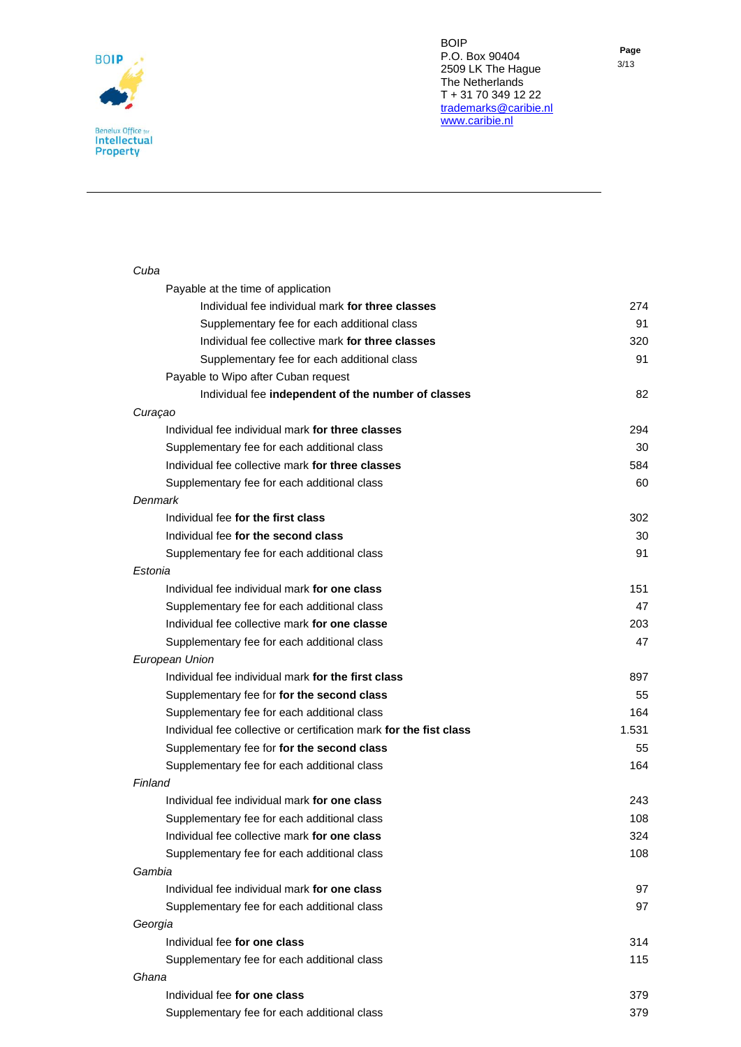

| Cuba                                                               |       |
|--------------------------------------------------------------------|-------|
| Payable at the time of application                                 |       |
| Individual fee individual mark for three classes                   | 274   |
| Supplementary fee for each additional class                        | 91    |
| Individual fee collective mark for three classes                   | 320   |
| Supplementary fee for each additional class                        | 91    |
| Payable to Wipo after Cuban request                                |       |
| Individual fee independent of the number of classes                | 82    |
| Curaçao                                                            |       |
| Individual fee individual mark for three classes                   | 294   |
| Supplementary fee for each additional class                        | 30    |
| Individual fee collective mark for three classes                   | 584   |
| Supplementary fee for each additional class                        | 60    |
| Denmark                                                            |       |
| Individual fee for the first class                                 | 302   |
| Individual fee for the second class                                | 30    |
| Supplementary fee for each additional class                        | 91    |
| <b>Fstonia</b>                                                     |       |
| Individual fee individual mark for one class                       | 151   |
| Supplementary fee for each additional class                        | 47    |
| Individual fee collective mark for one classe                      | 203   |
| Supplementary fee for each additional class                        | 47    |
| European Union                                                     |       |
| Individual fee individual mark for the first class                 | 897   |
| Supplementary fee for for the second class                         | 55    |
| Supplementary fee for each additional class                        | 164   |
| Individual fee collective or certification mark for the fist class | 1.531 |
| Supplementary fee for for the second class                         | 55    |
| Supplementary fee for each additional class                        | 164   |
| Finland                                                            |       |
| Individual fee individual mark for one class                       | 243   |
| Supplementary fee for each additional class                        | 108   |
| Individual fee collective mark for one class                       | 324   |
| Supplementary fee for each additional class                        | 108   |
| Gambia                                                             |       |
| Individual fee individual mark for one class                       | 97    |
| Supplementary fee for each additional class                        | 97    |
| Georgia                                                            |       |
| Individual fee for one class                                       | 314   |
| Supplementary fee for each additional class                        | 115   |
| Ghana                                                              |       |
| Individual fee for one class                                       | 379   |
| Supplementary fee for each additional class                        | 379   |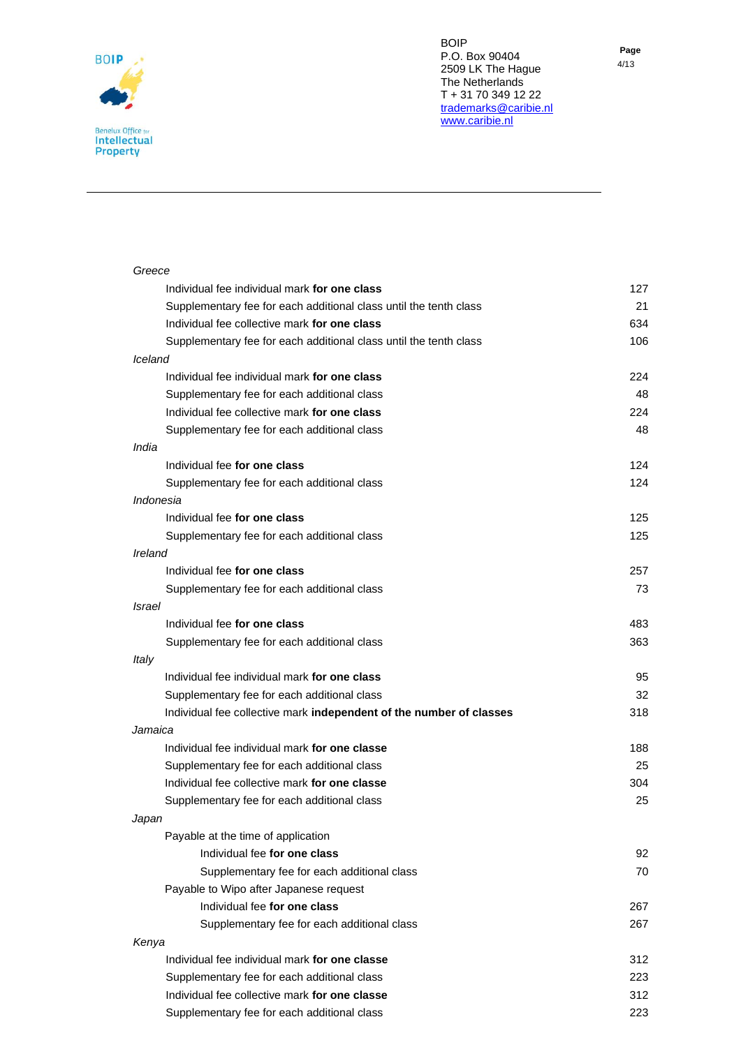

| Greece                                                              |     |
|---------------------------------------------------------------------|-----|
| Individual fee individual mark for one class                        | 127 |
| Supplementary fee for each additional class until the tenth class   | 21  |
| Individual fee collective mark for one class                        | 634 |
| Supplementary fee for each additional class until the tenth class   | 106 |
| Iceland                                                             |     |
| Individual fee individual mark for one class                        | 224 |
| Supplementary fee for each additional class                         | 48  |
| Individual fee collective mark for one class                        | 224 |
| Supplementary fee for each additional class                         | 48  |
| India                                                               |     |
| Individual fee for one class                                        | 124 |
| Supplementary fee for each additional class                         | 124 |
| Indonesia                                                           |     |
| Individual fee for one class                                        | 125 |
| Supplementary fee for each additional class                         | 125 |
| Ireland                                                             |     |
| Individual fee for one class                                        | 257 |
| Supplementary fee for each additional class                         | 73  |
| Israel                                                              |     |
| Individual fee for one class                                        | 483 |
| Supplementary fee for each additional class                         | 363 |
| Italy                                                               |     |
| Individual fee individual mark for one class                        | 95  |
| Supplementary fee for each additional class                         | 32  |
| Individual fee collective mark independent of the number of classes | 318 |
| Jamaica                                                             |     |
| Individual fee individual mark for one classe                       | 188 |
| Supplementary fee for each additional class                         | 25  |
| Individual fee collective mark for one classe                       | 304 |
| Supplementary fee for each additional class                         | 25  |
| Japan                                                               |     |
| Payable at the time of application                                  |     |
| Individual fee for one class                                        | 92  |
| Supplementary fee for each additional class                         | 70  |
| Payable to Wipo after Japanese request                              |     |
| Individual fee for one class                                        | 267 |
| Supplementary fee for each additional class                         | 267 |
| Kenya                                                               |     |
| Individual fee individual mark for one classe                       | 312 |
| Supplementary fee for each additional class                         | 223 |
| Individual fee collective mark for one classe                       | 312 |
| Supplementary fee for each additional class                         | 223 |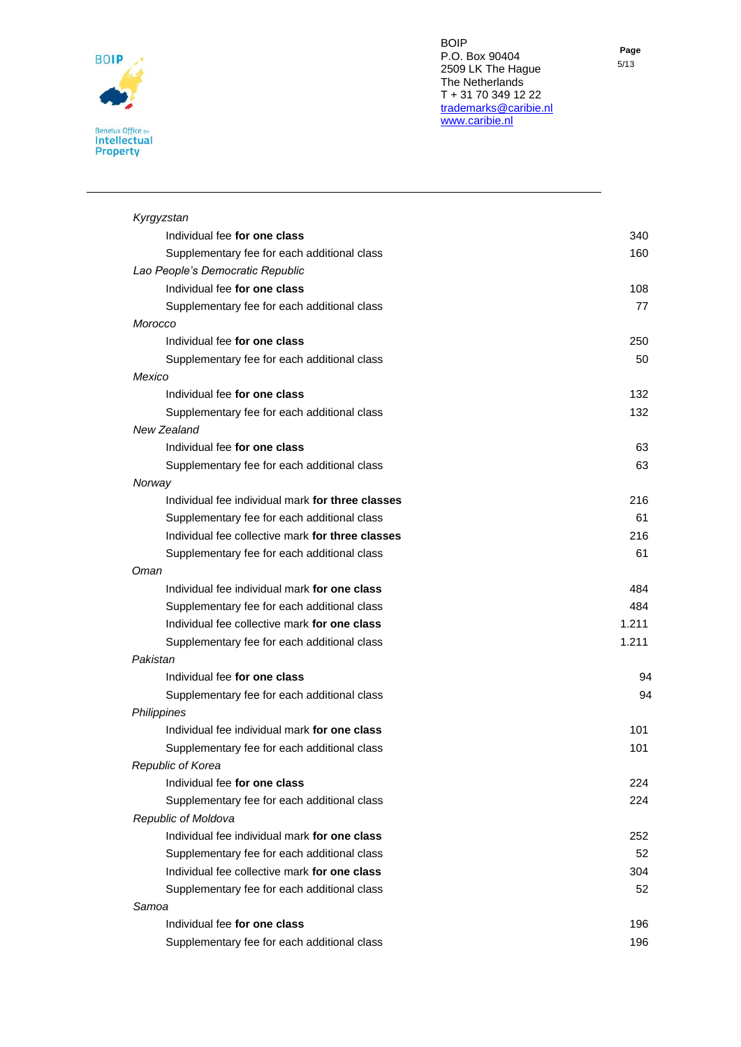

| ۰.<br>M. | ×<br>۰. |
|----------|---------|

| 340                           |
|-------------------------------|
| 160<br>108<br>77<br>250<br>50 |
|                               |
|                               |
|                               |
|                               |
|                               |
|                               |
|                               |
|                               |
| 132                           |
| 132                           |
|                               |
| 63                            |
| 63                            |
|                               |
| 216                           |
| 61                            |
| 216                           |
| 61                            |
|                               |
| 484                           |
| 484                           |
| 1.211                         |
| 1.211                         |
|                               |
| 94                            |
| 94                            |
|                               |
| 101                           |
| 101                           |
|                               |
| 224                           |
| 224                           |
|                               |
| 252                           |
| 52                            |
| 304                           |
| 52                            |
|                               |
| 196                           |
| 196                           |
|                               |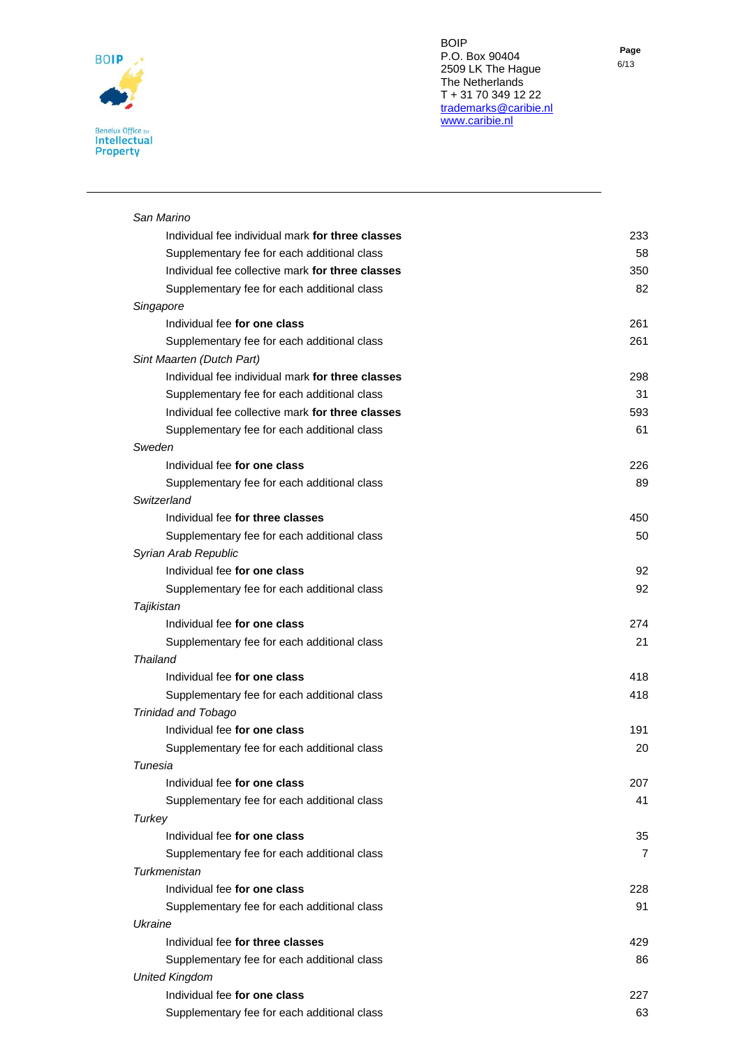

| San Marino                                                                    |  |
|-------------------------------------------------------------------------------|--|
| Individual fee individual mark for three classes                              |  |
| Supplementary fee for each additional class                                   |  |
| Individual fee collective mark for three classes                              |  |
| Supplementary fee for each additional class                                   |  |
| Singapore<br>Individual fee for one class                                     |  |
|                                                                               |  |
| Supplementary fee for each additional class                                   |  |
| Sint Maarten (Dutch Part)<br>Individual fee individual mark for three classes |  |
| Supplementary fee for each additional class                                   |  |
| Individual fee collective mark for three classes                              |  |
| Supplementary fee for each additional class                                   |  |
| Sweden                                                                        |  |
| Individual fee for one class                                                  |  |
| Supplementary fee for each additional class                                   |  |
| Switzerland                                                                   |  |
| Individual fee for three classes                                              |  |
| Supplementary fee for each additional class                                   |  |
| Syrian Arab Republic                                                          |  |
| Individual fee for one class                                                  |  |
| Supplementary fee for each additional class                                   |  |
| Tajikistan                                                                    |  |
| Individual fee for one class                                                  |  |
| Supplementary fee for each additional class                                   |  |
| Thailand                                                                      |  |
| Individual fee for one class                                                  |  |
| Supplementary fee for each additional class                                   |  |
| Trinidad and Tobago                                                           |  |
| Individual fee for one class                                                  |  |
| Supplementary fee for each additional class                                   |  |
| Tunesia                                                                       |  |
| Individual fee for one class                                                  |  |
| Supplementary fee for each additional class                                   |  |
| Turkey<br>Individual fee for one class                                        |  |
| Supplementary fee for each additional class                                   |  |
| Turkmenistan                                                                  |  |
| Individual fee for one class                                                  |  |
| Supplementary fee for each additional class                                   |  |
| Ukraine                                                                       |  |
| Individual fee for three classes                                              |  |
| Supplementary fee for each additional class                                   |  |
| <b>United Kingdom</b>                                                         |  |
| Individual fee for one class                                                  |  |
| Supplementary fee for each additional class                                   |  |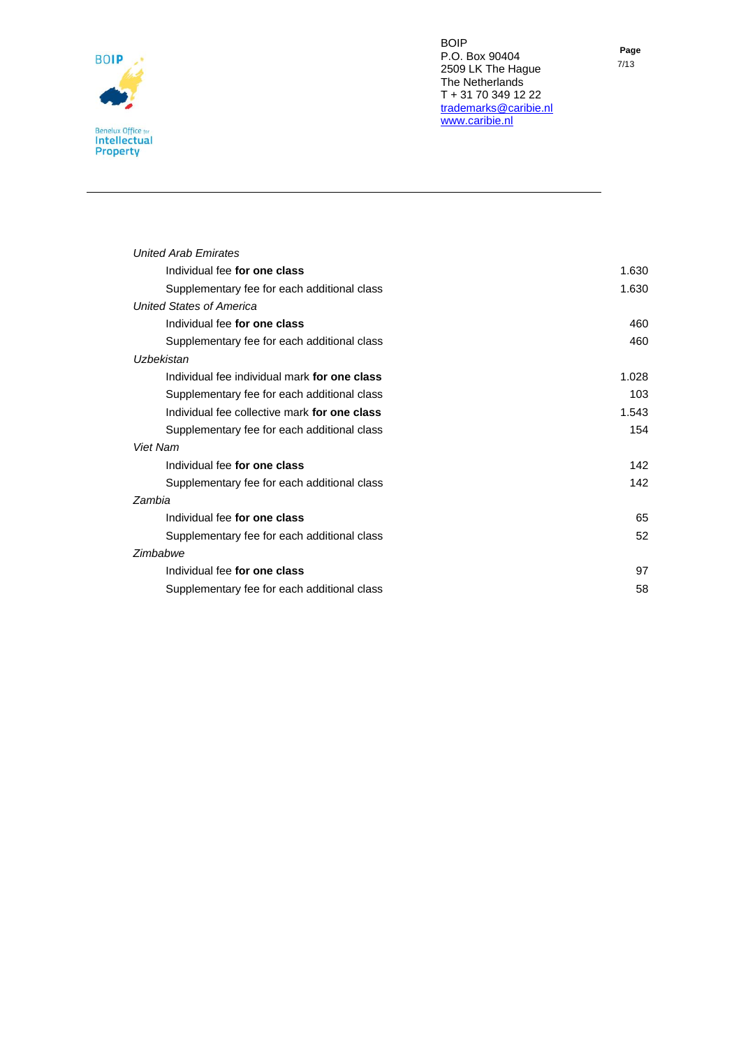

| . .<br>× | <b>STATISTICS</b> | × |
|----------|-------------------|---|
|          | I<br>۰.<br>×      |   |

| <b>United Arab Emirates</b>                  |       |
|----------------------------------------------|-------|
| Individual fee for one class                 | 1.630 |
| Supplementary fee for each additional class  | 1.630 |
| <b>United States of America</b>              |       |
| Individual fee for one class                 | 460   |
| Supplementary fee for each additional class  | 460   |
| Uzbekistan                                   |       |
| Individual fee individual mark for one class | 1.028 |
| Supplementary fee for each additional class  | 103   |
| Individual fee collective mark for one class | 1.543 |
| Supplementary fee for each additional class  | 154   |
| <b>Viet Nam</b>                              |       |
| Individual fee for one class                 | 142   |
| Supplementary fee for each additional class  | 142   |
| Zambia                                       |       |
| Individual fee for one class                 | 65    |
| Supplementary fee for each additional class  | 52    |
| Zimbabwe                                     |       |
| Individual fee for one class                 | 97    |
| Supplementary fee for each additional class  | 58    |
|                                              |       |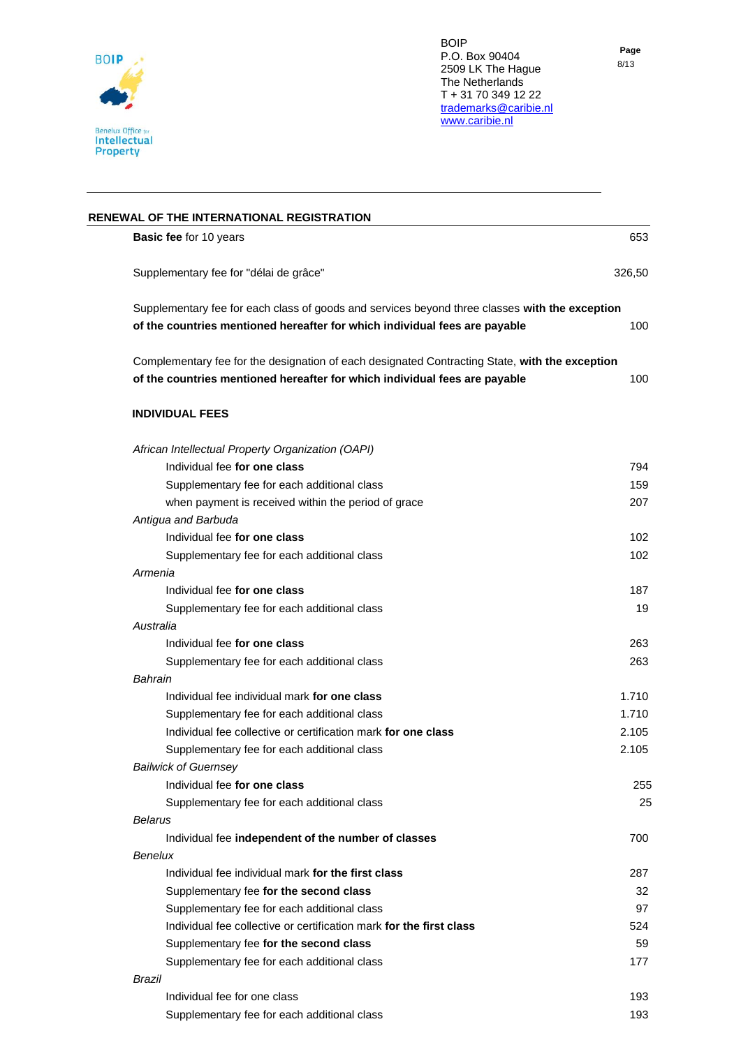

| RENEWAL OF THE INTERNATIONAL REGISTRATION                                                      |        |
|------------------------------------------------------------------------------------------------|--------|
| <b>Basic fee for 10 years</b>                                                                  | 653    |
| Supplementary fee for "délai de grâce"                                                         | 326.50 |
| Supplementary fee for each class of goods and services beyond three classes with the exception |        |
| of the countries mentioned hereafter for which individual fees are payable                     | 100    |
| Complementary fee for the designation of each designated Contracting State, with the exception |        |
| of the countries mentioned hereafter for which individual fees are payable                     | 100    |
| <b>INDIVIDUAL FEES</b>                                                                         |        |

| African Intellectual Property Organization (OAPI)                   |       |
|---------------------------------------------------------------------|-------|
| Individual fee for one class                                        | 794   |
| Supplementary fee for each additional class                         | 159   |
| when payment is received within the period of grace                 | 207   |
| Antigua and Barbuda                                                 |       |
| Individual fee for one class                                        | 102   |
| Supplementary fee for each additional class                         | 102   |
| Armenia                                                             |       |
| Individual fee for one class                                        | 187   |
| Supplementary fee for each additional class                         | 19    |
| Australia                                                           |       |
| Individual fee for one class                                        | 263   |
| Supplementary fee for each additional class                         | 263   |
| Bahrain                                                             |       |
| Individual fee individual mark for one class                        | 1.710 |
| Supplementary fee for each additional class                         | 1.710 |
| Individual fee collective or certification mark for one class       | 2.105 |
| Supplementary fee for each additional class                         | 2.105 |
| <b>Bailwick of Guernsey</b>                                         |       |
| Individual fee for one class                                        | 255   |
| Supplementary fee for each additional class                         | 25    |
| Belarus                                                             |       |
| Individual fee independent of the number of classes                 | 700   |
| Benelux                                                             |       |
| Individual fee individual mark for the first class                  | 287   |
| Supplementary fee for the second class                              | 32    |
| Supplementary fee for each additional class                         | 97    |
| Individual fee collective or certification mark for the first class | 524   |
| Supplementary fee for the second class                              | 59    |
| Supplementary fee for each additional class                         | 177   |
| Brazil                                                              |       |
| Individual fee for one class                                        | 193   |
| Supplementary fee for each additional class                         | 193   |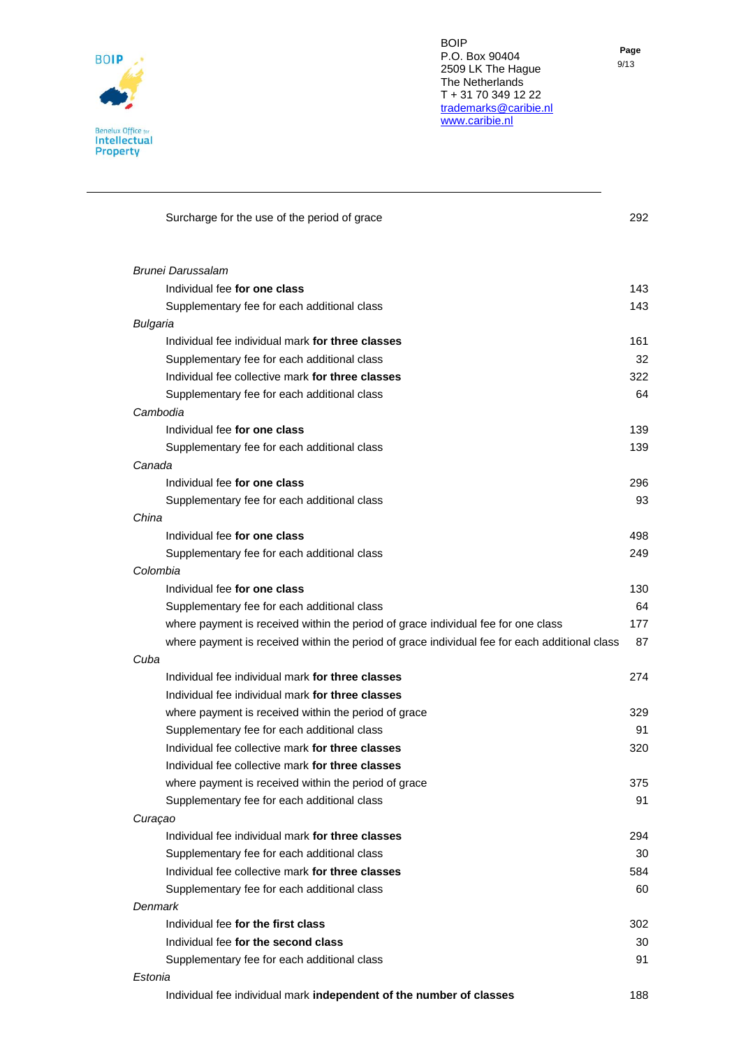

**Page**

| Surcharge for the use of the period of grace                                                  | 292 |
|-----------------------------------------------------------------------------------------------|-----|
| <b>Brunei Darussalam</b>                                                                      |     |
| Individual fee for one class                                                                  | 143 |
| Supplementary fee for each additional class                                                   | 143 |
| Bulgaria                                                                                      |     |
| Individual fee individual mark for three classes                                              | 161 |
| Supplementary fee for each additional class                                                   | 32  |
| Individual fee collective mark for three classes                                              | 322 |
| Supplementary fee for each additional class                                                   | 64  |
| Cambodia                                                                                      |     |
| Individual fee for one class                                                                  | 139 |
| Supplementary fee for each additional class                                                   | 139 |
| Canada                                                                                        |     |
| Individual fee for one class                                                                  | 296 |
| Supplementary fee for each additional class                                                   | 93  |
| China                                                                                         |     |
| Individual fee for one class                                                                  | 498 |
| Supplementary fee for each additional class                                                   | 249 |
| Colombia                                                                                      |     |
| Individual fee for one class                                                                  | 130 |
| Supplementary fee for each additional class                                                   | 64  |
| where payment is received within the period of grace individual fee for one class             | 177 |
| where payment is received within the period of grace individual fee for each additional class | 87  |
| Cuba                                                                                          |     |
| Individual fee individual mark for three classes                                              | 274 |
| Individual fee individual mark for three classes                                              |     |
| where payment is received within the period of grace                                          | 329 |
| Supplementary fee for each additional class                                                   | 91  |
| Individual fee collective mark for three classes                                              | 320 |
| Individual fee collective mark for three classes                                              |     |
| where payment is received within the period of grace                                          | 375 |
| Supplementary fee for each additional class                                                   | 91  |
| Curaçao<br>Individual fee individual mark for three classes                                   |     |
|                                                                                               | 294 |
| Supplementary fee for each additional class                                                   | 30  |
| Individual fee collective mark for three classes                                              | 584 |
| Supplementary fee for each additional class                                                   | 60  |
| Denmark<br>Individual fee for the first class                                                 |     |
|                                                                                               | 302 |
| Individual fee for the second class                                                           | 30  |
| Supplementary fee for each additional class                                                   | 91  |
| Estonia<br>Individual fee individual mark independent of the number of classes                |     |
|                                                                                               | 188 |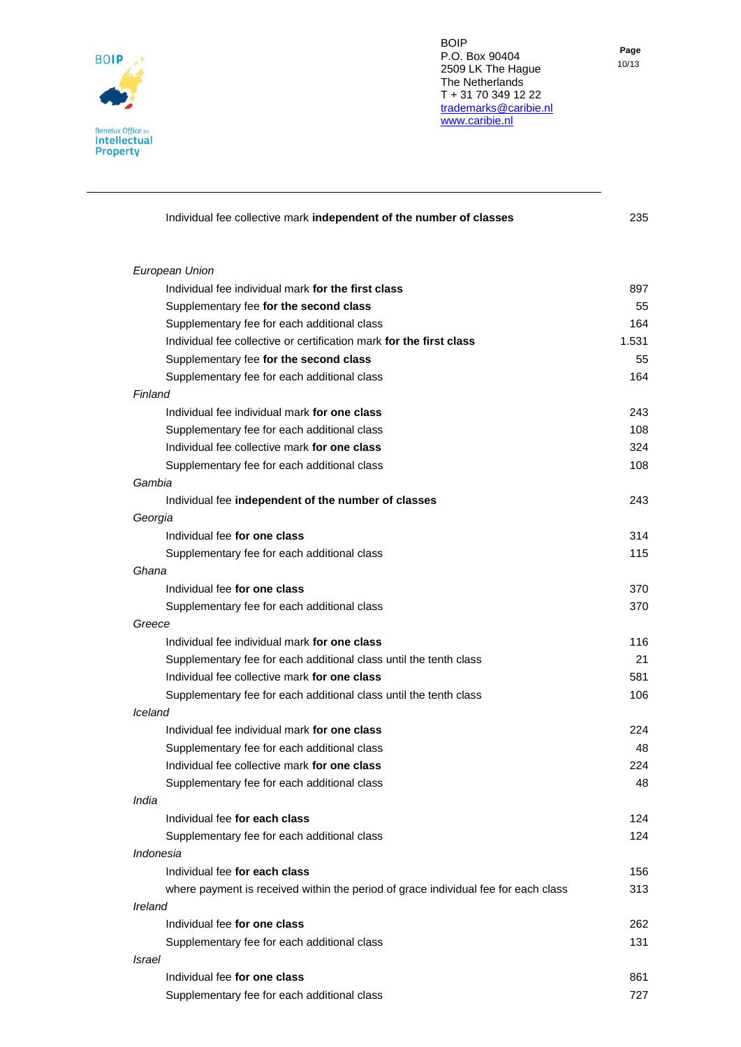

**Page** 10/13

| Individual fee collective mark independent of the number of classes                | 235   |
|------------------------------------------------------------------------------------|-------|
| European Union                                                                     |       |
| Individual fee individual mark for the first class                                 | 897   |
| Supplementary fee for the second class                                             | 55    |
| Supplementary fee for each additional class                                        | 164   |
| Individual fee collective or certification mark for the first class                | 1.531 |
| Supplementary fee for the second class                                             | 55    |
| Supplementary fee for each additional class                                        | 164   |
| Finland                                                                            |       |
| Individual fee individual mark for one class                                       | 243   |
| Supplementary fee for each additional class                                        | 108   |
| Individual fee collective mark for one class                                       | 324   |
| Supplementary fee for each additional class                                        | 108   |
| Gambia                                                                             |       |
| Individual fee independent of the number of classes                                | 243   |
| Georgia                                                                            |       |
| Individual fee for one class                                                       | 314   |
| Supplementary fee for each additional class                                        | 115   |
| Ghana                                                                              |       |
| Individual fee for one class                                                       | 370   |
| Supplementary fee for each additional class                                        | 370   |
| Greece                                                                             |       |
| Individual fee individual mark for one class                                       | 116   |
| Supplementary fee for each additional class until the tenth class                  | 21    |
| Individual fee collective mark for one class                                       | 581   |
| Supplementary fee for each additional class until the tenth class                  | 106   |
| Iceland                                                                            |       |
| Individual fee individual mark for one class                                       | 224   |
| Supplementary fee for each additional class                                        | 48    |
| Individual fee collective mark for one class                                       | 224   |
| Supplementary fee for each additional class                                        | 48    |
| India                                                                              |       |
| Individual fee for each class                                                      | 124   |
| Supplementary fee for each additional class                                        | 124   |
| Indonesia                                                                          |       |
| Individual fee for each class                                                      | 156   |
| where payment is received within the period of grace individual fee for each class | 313   |
| Ireland                                                                            |       |
| Individual fee for one class                                                       | 262   |
| Supplementary fee for each additional class                                        | 131   |
| Israel                                                                             |       |
| Individual fee for one class                                                       | 861   |
| Supplementary fee for each additional class                                        | 727   |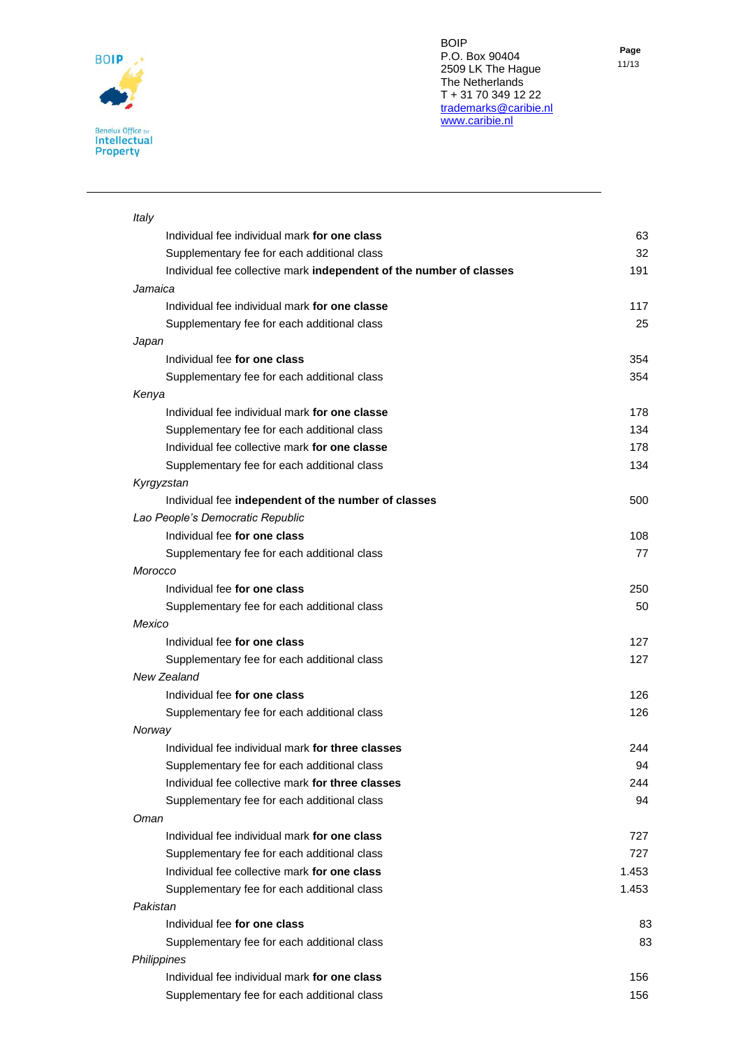

| Italy                                                               |       |
|---------------------------------------------------------------------|-------|
| Individual fee individual mark for one class                        | 63    |
| Supplementary fee for each additional class                         | 32    |
| Individual fee collective mark independent of the number of classes | 191   |
| Jamaica                                                             |       |
| Individual fee individual mark for one classe                       | 117   |
| Supplementary fee for each additional class                         | 25    |
| Japan                                                               |       |
| Individual fee for one class                                        | 354   |
| Supplementary fee for each additional class                         | 354   |
| Kenya                                                               |       |
| Individual fee individual mark for one classe                       | 178   |
| Supplementary fee for each additional class                         | 134   |
| Individual fee collective mark for one classe                       | 178   |
| Supplementary fee for each additional class                         | 134   |
| Kyrgyzstan                                                          |       |
| Individual fee independent of the number of classes                 | 500   |
| Lao People's Democratic Republic                                    |       |
| Individual fee for one class                                        | 108   |
| Supplementary fee for each additional class                         | 77    |
| Morocco                                                             |       |
| Individual fee for one class                                        | 250   |
| Supplementary fee for each additional class                         | 50    |
| Mexico                                                              |       |
| Individual fee for one class                                        | 127   |
| Supplementary fee for each additional class                         | 127   |
| New Zealand                                                         |       |
| Individual fee for one class                                        | 126   |
| Supplementary fee for each additional class                         | 126   |
| Norway                                                              |       |
| Individual fee individual mark for three classes                    | 244   |
| Supplementary fee for each additional class                         | 94    |
| Individual fee collective mark for three classes                    | 244   |
| Supplementary fee for each additional class                         | 94    |
| Oman                                                                |       |
| Individual fee individual mark for one class                        | 727   |
| Supplementary fee for each additional class                         | 727   |
| Individual fee collective mark for one class                        | 1.453 |
| Supplementary fee for each additional class                         | 1.453 |
| Pakistan                                                            |       |
| Individual fee for one class                                        | 83    |
| Supplementary fee for each additional class                         | 83    |
| Philippines                                                         |       |
| Individual fee individual mark for one class                        | 156   |
| Supplementary fee for each additional class                         | 156   |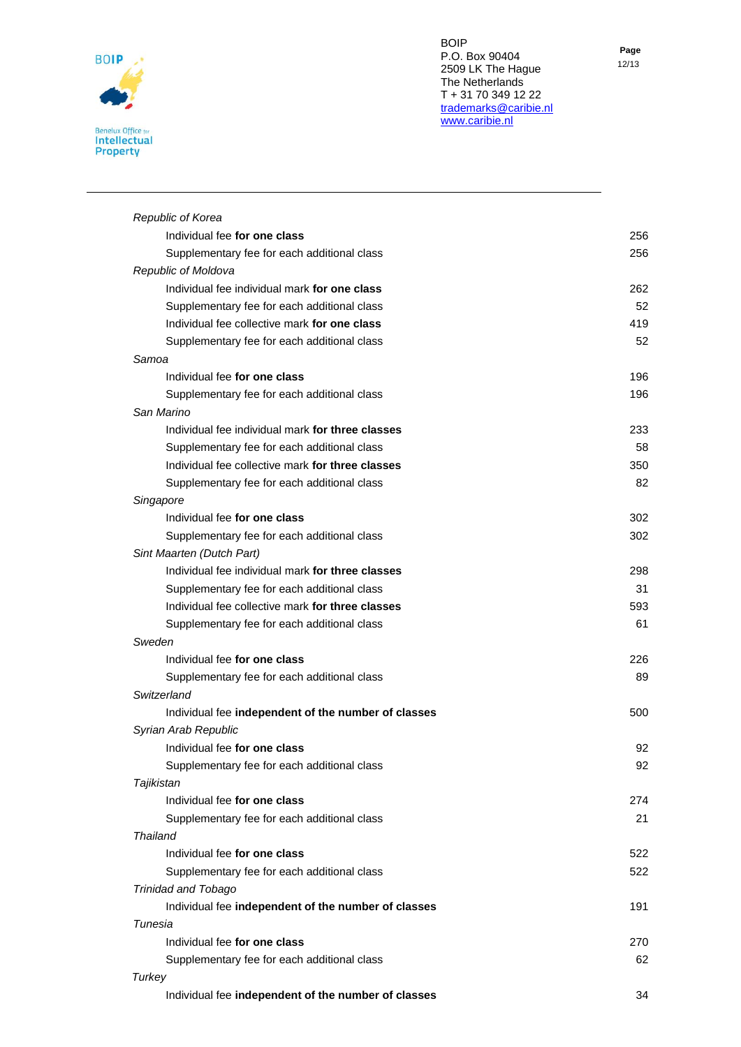

| Republic of Korea                                   |     |
|-----------------------------------------------------|-----|
| Individual fee for one class                        | 256 |
| Supplementary fee for each additional class         | 256 |
| Republic of Moldova                                 |     |
| Individual fee individual mark for one class        | 262 |
| Supplementary fee for each additional class         | 52  |
| Individual fee collective mark for one class        | 419 |
| Supplementary fee for each additional class         | 52  |
| Samoa                                               |     |
| Individual fee for one class                        | 196 |
| Supplementary fee for each additional class         | 196 |
| San Marino                                          |     |
| Individual fee individual mark for three classes    | 233 |
| Supplementary fee for each additional class         | 58  |
| Individual fee collective mark for three classes    | 350 |
| Supplementary fee for each additional class         | 82  |
| Singapore                                           |     |
| Individual fee for one class                        | 302 |
| Supplementary fee for each additional class         | 302 |
| Sint Maarten (Dutch Part)                           |     |
| Individual fee individual mark for three classes    | 298 |
| Supplementary fee for each additional class         | 31  |
| Individual fee collective mark for three classes    | 593 |
| Supplementary fee for each additional class         | 61  |
| Sweden                                              |     |
| Individual fee for one class                        | 226 |
| Supplementary fee for each additional class         | 89  |
| Switzerland                                         |     |
| Individual fee independent of the number of classes | 500 |
| Syrian Arab Republic                                |     |
| Individual fee for one class                        | 92  |
| Supplementary fee for each additional class         | 92  |
| Tajikistan                                          |     |
| Individual fee for one class                        | 274 |
| Supplementary fee for each additional class         | 21  |
| <b>Thailand</b>                                     |     |
| Individual fee for one class                        | 522 |
| Supplementary fee for each additional class         | 522 |
| Trinidad and Tobago                                 |     |
| Individual fee independent of the number of classes | 191 |
| Tunesia                                             |     |
| Individual fee for one class                        | 270 |
| Supplementary fee for each additional class         | 62  |
| <b>Turkey</b>                                       |     |
| Individual fee independent of the number of classes | 34  |